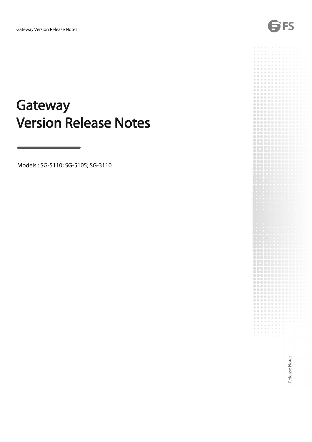

Models : SG-5110; SG-5105; SG-3110

FS

Release Notes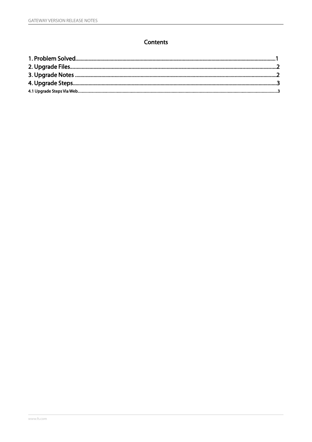## Contents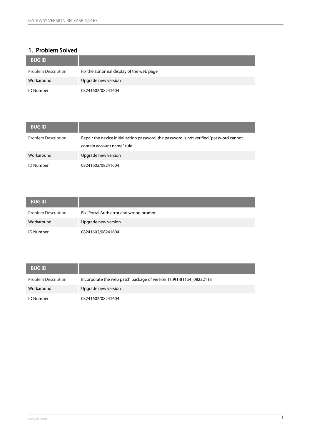# 1. Problem Solved

| <b>BUG ID</b>       |                                          |
|---------------------|------------------------------------------|
| Problem Description | Fix the abnormal display of the web page |
| Workaround          | Upgrade new version                      |
| <b>ID Number</b>    | 08241602/08241604                        |

| <b>BUG ID</b>              |                                                                                                                         |
|----------------------------|-------------------------------------------------------------------------------------------------------------------------|
| <b>Problem Description</b> | Repair the device initialization password, the password is not verified "password cannot"<br>contain account name" rule |
| Workaround                 | Upgrade new version                                                                                                     |
| <b>ID Number</b>           | 08241602/08241604                                                                                                       |

| <b>BUG ID</b>              |                                         |
|----------------------------|-----------------------------------------|
| <b>Problem Description</b> | Fix iPortal Auth error and wrong prompt |
| Workaround                 | Upgrade new version                     |
| <b>ID Number</b>           | 08241602/08241604                       |

| <b>BUG ID</b>       |                                                                    |
|---------------------|--------------------------------------------------------------------|
| Problem Description | Incorporate the web patch package of version 11.9(1)B11S4_08222118 |
| Workaround          | Upgrade new version                                                |
| <b>ID Number</b>    | 08241602/08241604                                                  |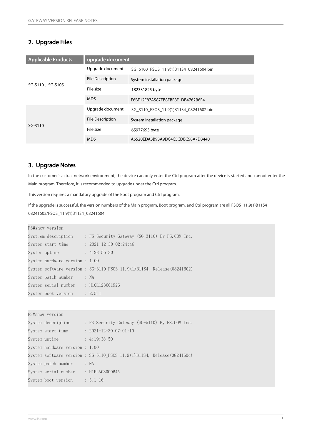### 2. Upgrade Files

| <b>Applicable Products</b> | upgrade document        |                                        |
|----------------------------|-------------------------|----------------------------------------|
|                            | Upgrade document        | SG 5100 FSOS 11.9(1)B11S4 08241604.bin |
|                            | <b>File Description</b> | System installation package            |
| SG-5110, SG-5105           | File size               | 182331825 byte                         |
|                            | MD <sub>5</sub>         | E6BF12F87A587FB8FBF8E1DB4762B6F4       |
|                            | Upgrade document        | SG 3110 FSOS 11.9(1)B11S4 08241602.bin |
|                            | <b>File Description</b> | System installation package            |
| $SG-3110$                  | File size               | 65977693 byte                          |
|                            | MD <sub>5</sub>         | A6520EDA3B93A9DC4C5CDBC58A7D3440       |

#### 3. Upgrade Notes

In the customer's actual network environment, the device can only enter the Ctrl program after the device is started and cannot enter the Main program. Therefore, it isrecommended to upgrade under the Ctrl program.

This version requires a mandatory upgrade of the Boot program and Ctrl program.

If the upgrade is successful, the version numbers of the Main program, Boot program, and Ctrl program are all FSOS\_11.9(1)B11S4\_ 08241602/FSOS\_11.9(1)B11S4\_08241604.

| FS#show version                      |                                                                           |
|--------------------------------------|---------------------------------------------------------------------------|
| Syst.em description                  | : FS Security Gateway (SG-3110) By FS. COM Inc.                           |
| System start time                    | $: 2021-12-30$ $02:24:46$                                                 |
| System uptime : 4:23:56:30           |                                                                           |
| System hardware version : 1.00       |                                                                           |
|                                      | System software version : $SG-3110$ FSOS 11.9(1)B11S4, Release (08241602) |
| System patch number : NA             |                                                                           |
| System serial number : H1QL123001926 |                                                                           |
| System boot version : $2.5.1$        |                                                                           |

| FS#show version                      |                                                                           |
|--------------------------------------|---------------------------------------------------------------------------|
| System description                   | : FS Security Gateway (SG-5110) By FS.COM Inc.                            |
| System start time                    | $: 2021 - 12 - 3007:01:10$                                                |
| System uptime                        | : 4:19:38:50                                                              |
| System hardware version : 1.00       |                                                                           |
|                                      | System software version : $SG-5110$ FSOS 11.9(1)B11S4, Release (08241604) |
| System patch number : NA             |                                                                           |
| System serial number : H1PLA0S00064A |                                                                           |
| System boot version                  | : 3.1.16                                                                  |
|                                      |                                                                           |